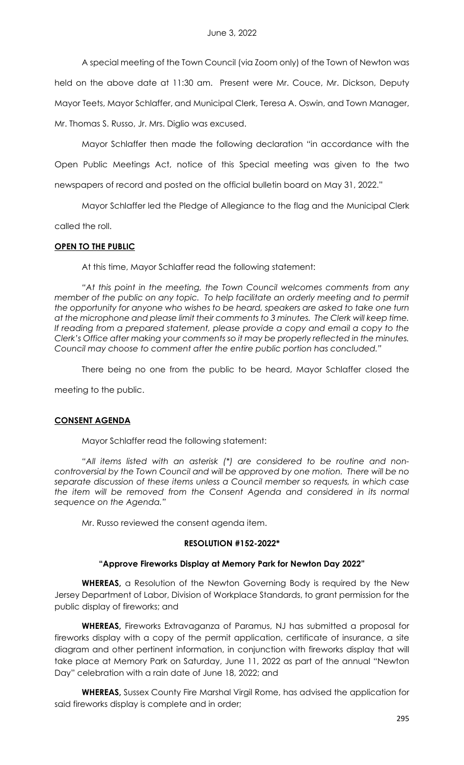A special meeting of the Town Council (via Zoom only) of the Town of Newton was

held on the above date at 11:30 am. Present were Mr. Couce, Mr. Dickson, Deputy

Mayor Teets, Mayor Schlaffer, and Municipal Clerk, Teresa A. Oswin, and Town Manager,

Mr. Thomas S. Russo, Jr. Mrs. Diglio was excused.

Mayor Schlaffer then made the following declaration "in accordance with the

Open Public Meetings Act, notice of this Special meeting was given to the two newspapers of record and posted on the official bulletin board on May 31, 2022."

Mayor Schlaffer led the Pledge of Allegiance to the flag and the Municipal Clerk

called the roll.

## **OPEN TO THE PUBLIC**

At this time, Mayor Schlaffer read the following statement:

*"At this point in the meeting, the Town Council welcomes comments from any member of the public on any topic. To help facilitate an orderly meeting and to permit the opportunity for anyone who wishes to be heard, speakers are asked to take one turn at the microphone and please limit their comments to 3 minutes. The Clerk will keep time. If reading from a prepared statement, please provide a copy and email a copy to the Clerk's Office after making your comments so it may be properly reflected in the minutes. Council may choose to comment after the entire public portion has concluded."* 

There being no one from the public to be heard, Mayor Schlaffer closed the

meeting to the public.

## **CONSENT AGENDA**

Mayor Schlaffer read the following statement:

*"All items listed with an asterisk (\*) are considered to be routine and noncontroversial by the Town Council and will be approved by one motion. There will be no separate discussion of these items unless a Council member so requests, in which case*  the item will be removed from the Consent Agenda and considered in its normal *sequence on the Agenda."* 

Mr. Russo reviewed the consent agenda item.

## **RESOLUTION #152-2022\***

## **"Approve Fireworks Display at Memory Park for Newton Day 2022"**

**WHEREAS,** a Resolution of the Newton Governing Body is required by the New Jersey Department of Labor, Division of Workplace Standards, to grant permission for the public display of fireworks; and

**WHEREAS,** Fireworks Extravaganza of Paramus, NJ has submitted a proposal for fireworks display with a copy of the permit application, certificate of insurance, a site diagram and other pertinent information, in conjunction with fireworks display that will take place at Memory Park on Saturday, June 11, 2022 as part of the annual "Newton Day" celebration with a rain date of June 18, 2022; and

**WHEREAS,** Sussex County Fire Marshal Virgil Rome, has advised the application for said fireworks display is complete and in order;